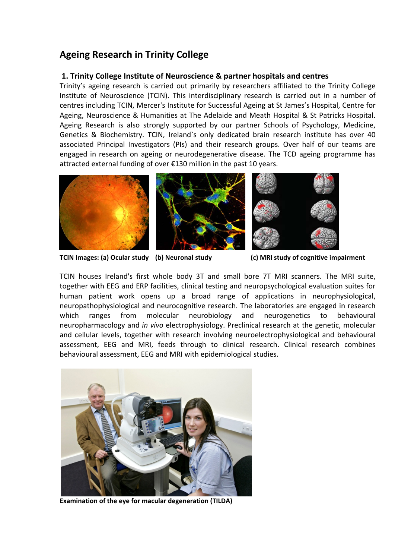# **Ageing Research in Trinity College**

## **1. Trinity College Institute of Neuroscience & partner hospitals and centres**

Trinity's ageing research is carried out primarily by researchers affiliated to the Trinity College Institute of Neuroscience (TCIN). This interdisciplinary research is carried out in a number of centres including TCIN, Mercer's Institute for Successful Ageing at St James's Hospital, Centre for Ageing, Neuroscience & Humanities at The Adelaide and Meath Hospital & St Patricks Hospital. Ageing Research is also strongly supported by our partner Schools of Psychology, Medicine, Genetics & Biochemistry. TCIN, Ireland`s only dedicated brain research institute has over 40 associated Principal Investigators (PIs) and their research groups. Over half of our teams are engaged in research on ageing or neurodegenerative disease. The TCD ageing programme has attracted external funding of over €130 million in the past 10 years.



**TCIN Images: (a) Ocular study (b) Neuronal study (c) MRI study of cognitive impairment**

TCIN houses Ireland's first whole body 3T and small bore 7T MRI scanners. The MRI suite, together with EEG and ERP facilities, clinical testing and neuropsychological evaluation suites for human patient work opens up a broad range of applications in neurophysiological, neuropathophysiological and neurocognitive research. The laboratories are engaged in research which ranges from molecular neurobiology and neurogenetics to behavioural neuropharmacology and *in vivo* electrophysiology. Preclinical research at the genetic, molecular and cellular levels, together with research involving neuroelectrophysiological and behavioural assessment, EEG and MRI, feeds through to clinical research. Clinical research combines behavioural assessment, EEG and MRI with epidemiological studies.



**Examination of the eye for macular degeneration (TILDA)**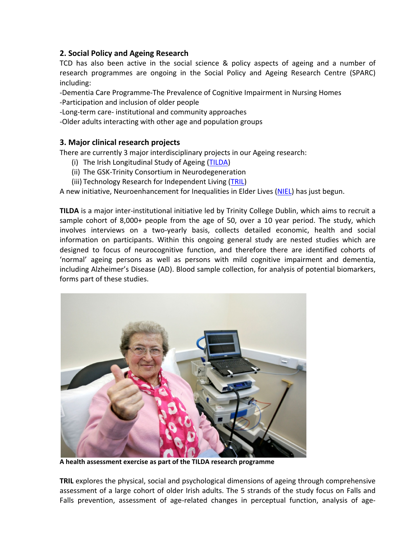# **2. Social Policy and Ageing Research**

TCD has also been active in the social science & policy aspects of ageing and a number of research programmes are ongoing in the Social Policy and Ageing Research Centre (SPARC) including:

‐Dementia Care Programme‐The Prevalence of Cognitive Impairment in Nursing Homes ‐Participation and inclusion of older people

‐Long‐term care‐ institutional and community approaches

‐Older adults interacting with other age and population groups

# **3. Major clinical research projects**

There are currently 3 major interdisciplinary projects in our Ageing research:

- (i) The Irish Longitudinal Study of Ageing (TILDA)
- (ii) The GSK‐Trinity Consortium in Neurodegeneration
- (iii) Technology Research for Independent Living (TRIL)

A new initiative, Neuroenhancement for Inequalities in Elder Lives (NIEL) has just begun.

**TILDA** is a major inter‐institutional initiative led by Trinity College Dublin, which aims to recruit a sample cohort of 8,000+ people from the age of 50, over a 10 year period. The study, which involves interviews on a two-yearly basis, collects detailed economic, health and social information on participants. Within this ongoing general study are nested studies which are designed to focus of neurocognitive function, and therefore there are identified cohorts of 'normal' ageing persons as well as persons with mild cognitive impairment and dementia, including Alzheimer's Disease (AD). Blood sample collection, for analysis of potential biomarkers, forms part of these studies.



**A health assessment exercise as part of the TILDA research programme**

**TRIL** explores the physical, social and psychological dimensions of ageing through comprehensive assessment of a large cohort of older Irish adults. The 5 strands of the study focus on Falls and Falls prevention, assessment of age-related changes in perceptual function, analysis of age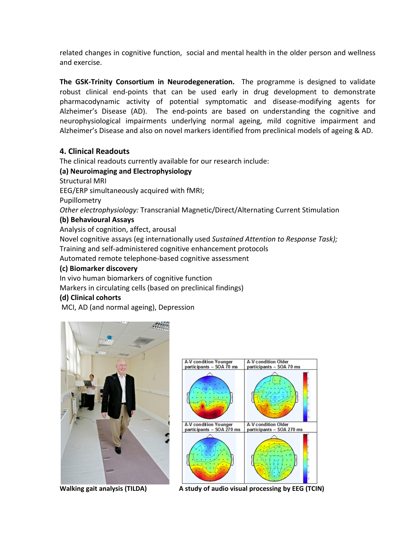related changes in cognitive function, social and mental health in the older person and wellness and exercise.

**The GSK‐Trinity Consortium in Neurodegeneration.**  The programme is designed to validate robust clinical end‐points that can be used early in drug development to demonstrate pharmacodynamic activity of potential symptomatic and disease‐modifying agents for Alzheimer's Disease (AD). The end-points are based on understanding the cognitive and neurophysiological impairments underlying normal ageing, mild cognitive impairment and Alzheimer's Disease and also on novel markers identified from preclinical models of ageing & AD.

## **4. Clinical Readouts**

The clinical readouts currently available for our research include:

## **(a) Neuroimaging and Electrophysiology**

Structural MRI

EEG/ERP simultaneously acquired with fMRI;

Pupillometry

*Other electrophysiology:* Transcranial Magnetic/Direct/Alternating Current Stimulation

#### **(b) Behavioural Assays**

Analysis of cognition, affect, arousal

Novel cognitive assays (eg internationally used *Sustained Attention to Response Task);* Training and self‐administered cognitive enhancement protocols

Automated remote telephone‐based cognitive assessment

#### **(c) Biomarker discovery**

In vivo human biomarkers of cognitive function

Markers in circulating cells (based on preclinical findings)

#### **(d) Clinical cohorts**

MCI, AD (and normal ageing), Depression





**Walking gait analysis (TILDA) <sup>A</sup> study of audio visual processing by EEG (TCIN)**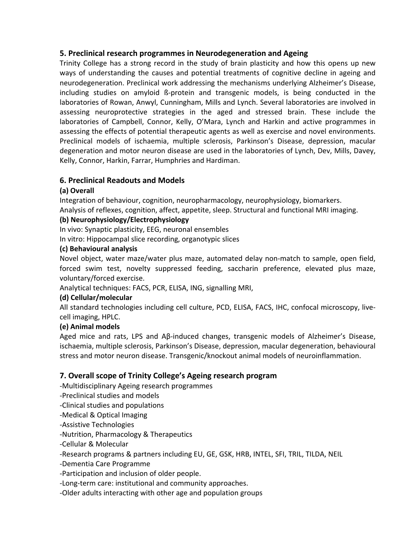# **5. Preclinical research programmes in Neurodegeneration and Ageing**

Trinity College has a strong record in the study of brain plasticity and how this opens up new ways of understanding the causes and potential treatments of cognitive decline in ageing and neurodegeneration. Preclinical work addressing the mechanisms underlying Alzheimer's Disease, including studies on amyloid ß‐protein and transgenic models, is being conducted in the laboratories of Rowan, Anwyl, Cunningham, Mills and Lynch. Several laboratories are involved in assessing neuroprotective strategies in the aged and stressed brain. These include the laboratories of Campbell, Connor, Kelly, O'Mara, Lynch and Harkin and active programmes in assessing the effects of potential therapeutic agents as well as exercise and novel environments. Preclinical models of ischaemia, multiple sclerosis, Parkinson's Disease, depression, macular degeneration and motor neuron disease are used in the laboratories of Lynch, Dev, Mills, Davey, Kelly, Connor, Harkin, Farrar, Humphries and Hardiman.

# **6. Preclinical Readouts and Models**

## **(a) Overall**

Integration of behaviour, cognition, neuropharmacology, neurophysiology, biomarkers.

Analysis of reflexes, cognition, affect, appetite, sleep. Structural and functional MRI imaging.

## **(b) Neurophysiology/Electrophysiology**

In vivo: Synaptic plasticity, EEG, neuronal ensembles

In vitro: Hippocampal slice recording, organotypic slices

## **(c) Behavioural analysis**

Novel object, water maze/water plus maze, automated delay non‐match to sample, open field, forced swim test, novelty suppressed feeding, saccharin preference, elevated plus maze, voluntary/forced exercise.

Analytical techniques: FACS, PCR, ELISA, ING, signalling MRI,

# **(d) Cellular/molecular**

All standard technologies including cell culture, PCD, ELISA, FACS, IHC, confocal microscopy, live‐ cell imaging, HPLC.

## **(e) Animal models**

Aged mice and rats, LPS and Aβ‐induced changes, transgenic models of Alzheimer's Disease, ischaemia, multiple sclerosis, Parkinson's Disease, depression, macular degeneration, behavioural stress and motor neuron disease. Transgenic/knockout animal models of neuroinflammation.

# **7. Overall scope of Trinity College's Ageing research program**

‐Multidisciplinary Ageing research programmes

‐Preclinical studies and models

‐Clinical studies and populations

‐Medical & Optical Imaging

‐Assistive Technologies

‐Nutrition, Pharmacology & Therapeutics

‐Cellular & Molecular

‐Research programs & partners including EU, GE, GSK, HRB, INTEL, SFI, TRIL, TILDA, NEIL

‐Dementia Care Programme

‐Participation and inclusion of older people.

‐Long‐term care: institutional and community approaches.

‐Older adults interacting with other age and population groups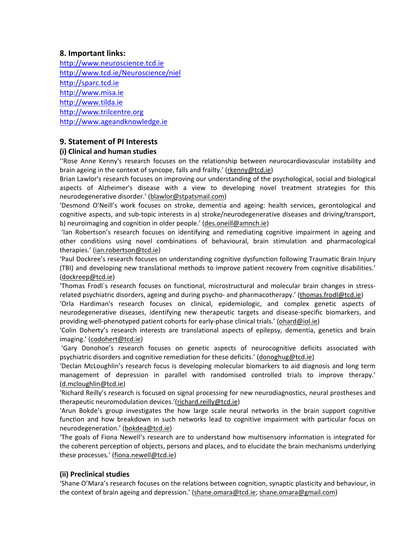## **8. Important links:**

http://www.neuroscience.tcd.ie http://www.tcd.ie/Neuroscience/niel http://sparc.tcd.ie http://www.misa.ie http://www.tilda.ie http://www.trilcentre.org http://www.ageandknowledge.ie

# **9. Statement of PI Interests**

#### **(i) Clinical and human studies**

''Rose Anne Kenny's research focuses on the relationship between neurocardiovascular instability and brain ageing in the context of syncope, falls and frailty.' (rkenny@tcd.ie)

Brian Lawlor's research focuses on improving our understanding of the psychological, social and biological aspects of Alzheimer's disease with a view to developing novel treatment strategies for this neurodegenerative disorder.' (blawlor@stpatsmail.com)

'Desmond O'Neill's work focuses on stroke, dementia and ageing: health services, gerontological and cognitive aspects, and sub‐topic interests in a) stroke/neurodegenerative diseases and driving/transport, b) neuroimaging and cognition in older people.' (des.oneill@amnch.ie)

'Ian Robertson's research focuses on identifying and remediating cognitive impairment in ageing and other conditions using novel combinations of behavioural, brain stimulation and pharmacological therapies.' (ian.robertson@tcd.ie)

'Paul Dockree's research focuses on understanding cognitive dysfunction following Traumatic Brain Injury (TBI) and developing new translational methods to improve patient recovery from cognitive disabilities.' (dockreep@tcd.ie)

'Thomas Frodl`s research focuses on functional, microstructural and molecular brain changes in stress‐ related psychiatric disorders, ageing and during psycho- and pharmacotherapy.' (thomas.frodl@tcd.ie)

'Orla Hardiman's research focuses on clinical, epidemiologic, and complex genetic aspects of neurodegenerative diseases, identifying new therapeutic targets and disease‐specific biomarkers, and providing well-phenotyped patient cohorts for early-phase clinical trials.' (ohard@iol.ie)

'Colin Doherty's research interests are translational aspects of epilepsy, dementia, genetics and brain imaging.' (codohert@tcd.ie)

'Gary Donohoe's research focuses on genetic aspects of neurocognitive deficits associated with psychiatric disorders and cognitive remediation for these deficits.' (donoghug@tcd.ie)

'Declan McLoughlin's research focus is developing molecular biomarkers to aid diagnosis and long term management of depression in parallel with randomised controlled trials to improve therapy.' (d.mcloughlin@tcd.ie)

'Richard Reilly's research is focused on signal processing for new neurodiagnostics, neural prostheses and therapeutic neuromodulation devices.'(richard.reilly@tcd.ie)

'Arun Bokde's group investigates the how large scale neural networks in the brain support cognitive function and how breakdown in such networks lead to cognitive impairment with particular focus on neurodegeneration.' (bokdea@tcd.ie)

'The goals of Fiona Newell's research are to understand how multisensory information is integrated for the coherent perception of objects, persons and places, and to elucidate the brain mechanisms underlying these processes.' (fiona.newell@tcd.ie)

## **(ii) Preclinical studies**

'Shane O'Mara's research focuses on the relations between cognition, synaptic plasticity and behaviour, in the context of brain ageing and depression.' (shane.omara@tcd.ie; shane.omara@gmail.com)